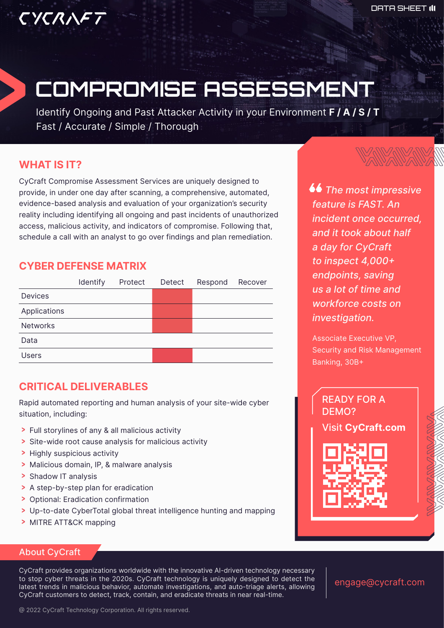# COMPROMISE ASSESSMENT

Identify Ongoing and Past Attacker Activity in your Environment **F / A / S / T** Fast / Accurate / Simple / Thorough

# **WHAT IS IT?**

CYCRAFT

CyCraft Compromise Assessment Services are uniquely designed to provide, in under one day after scanning, a comprehensive, automated, evidence-based analysis and evaluation of your organization's security reality including identifying all ongoing and past incidents of unauthorized access, malicious activity, and indicators of compromise. Following that, schedule a call with an analyst to go over findings and plan remediation.

# **CYBER DEFENSE MATRIX**

|                 | Identify | Protect Detect | Respond | Recover |
|-----------------|----------|----------------|---------|---------|
| Devices         |          |                |         |         |
| Applications    |          |                |         |         |
| <b>Networks</b> |          |                |         |         |
| Data            |          |                |         |         |
| <b>Users</b>    |          |                |         |         |

# **CRITICAL DELIVERABLES**

Rapid automated reporting and human analysis of your site-wide cyber situation, including:

- > Full storylines of any & all malicious activity
- > Site-wide root cause analysis for malicious activity
- > Highly suspicious activity
- > Malicious domain, IP, & malware analysis
- > Shadow IT analysis
- > A step-by-step plan for eradication
- > Optional: Eradication confirmation
- Up-to-date CyberTotal global threat intelligence hunting and mapping
- > MITRE ATT&CK mapping

### About CyCraft

CyCraft provides organizations worldwide with the innovative AI-driven technology necessary to stop cyber threats in the 2020s. CyCraft technology is uniquely designed to detect the latest trends in malicious behavior, automate investigations, and auto-triage alerts, allowing CyCraft customers to detect, track, contain, and eradicate threats in near real-time.

engage@cycraft.com

*66* The most impressive *feature is FAST. An incident once occurred, and it took about half a day for CyCraft to inspect 4,000+ endpoints, saving us a lot of time and workforce costs on investigation.*

Associate Executive VP, Security and Risk Management Banking, 30B+